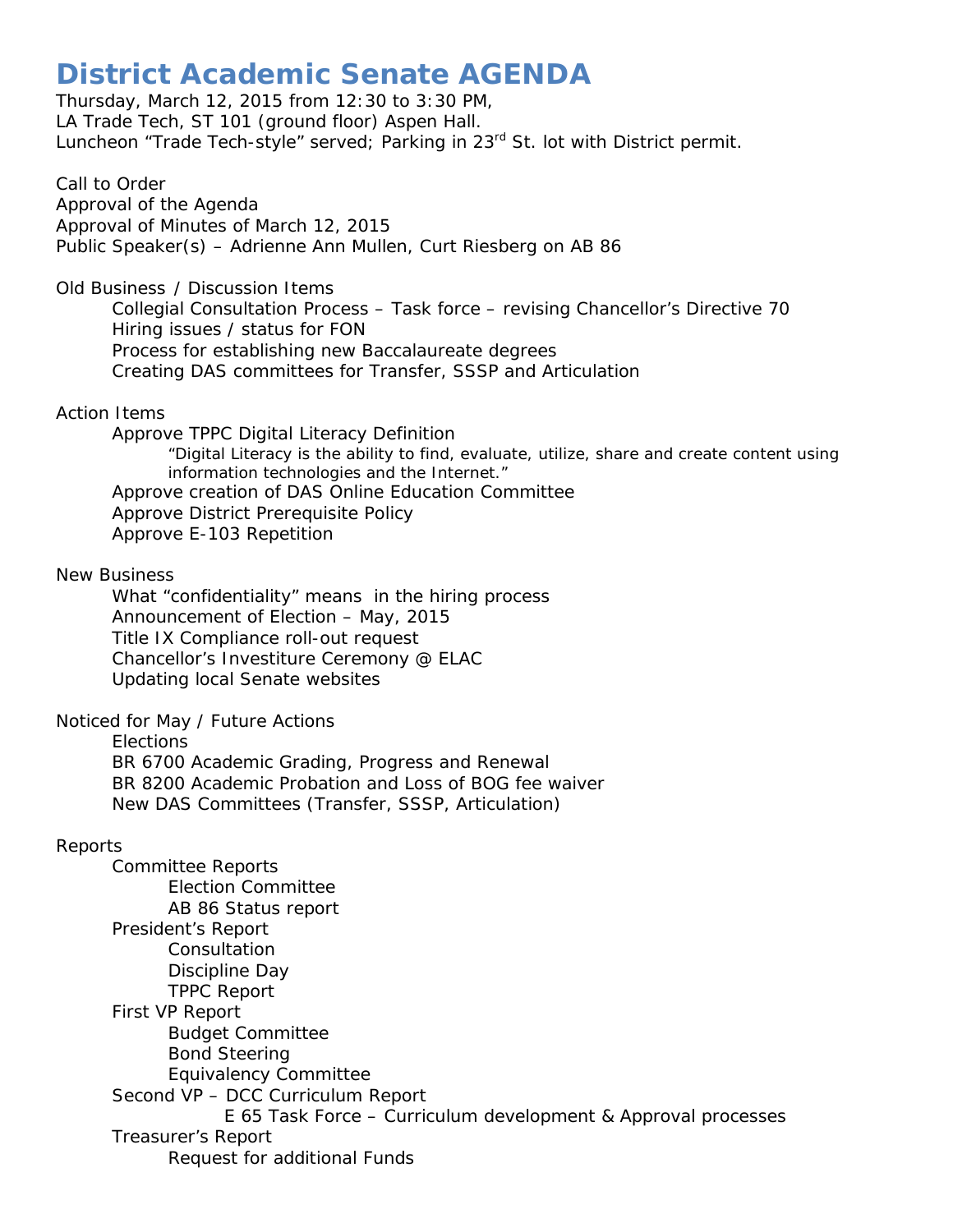## **District Academic Senate AGENDA**

Thursday, March 12, 2015 from 12:30 to 3:30 PM, LA Trade Tech, ST 101 (ground floor) Aspen Hall. Luncheon "Trade Tech-style" served; Parking in 23<sup>rd</sup> St. lot with District permit.

Call to Order Approval of the Agenda Approval of Minutes of March 12, 2015 Public Speaker(s) – Adrienne Ann Mullen, Curt Riesberg on AB 86

Old Business / Discussion Items

Collegial Consultation Process – Task force – revising Chancellor's Directive 70 Hiring issues / status for FON Process for establishing new Baccalaureate degrees Creating DAS committees for Transfer, SSSP and Articulation

## Action Items

Approve TPPC Digital Literacy Definition "Digital Literacy is the ability to find, evaluate, utilize, share and create content using information technologies and the Internet." Approve creation of DAS Online Education Committee Approve District Prerequisite Policy Approve E-103 Repetition

New Business

What "confidentiality" means in the hiring process Announcement of Election – May, 2015 Title IX Compliance roll-out request Chancellor's Investiture Ceremony @ ELAC Updating local Senate websites

Noticed for May / Future Actions

Elections

BR 6700 Academic Grading, Progress and Renewal BR 8200 Academic Probation and Loss of BOG fee waiver New DAS Committees (Transfer, SSSP, Articulation)

## Reports

Committee Reports Election Committee AB 86 Status report President's Report **Consultation** Discipline Day TPPC Report First VP Report Budget Committee Bond Steering Equivalency Committee Second VP – DCC Curriculum Report E 65 Task Force – Curriculum development & Approval processes Treasurer's Report Request for additional Funds